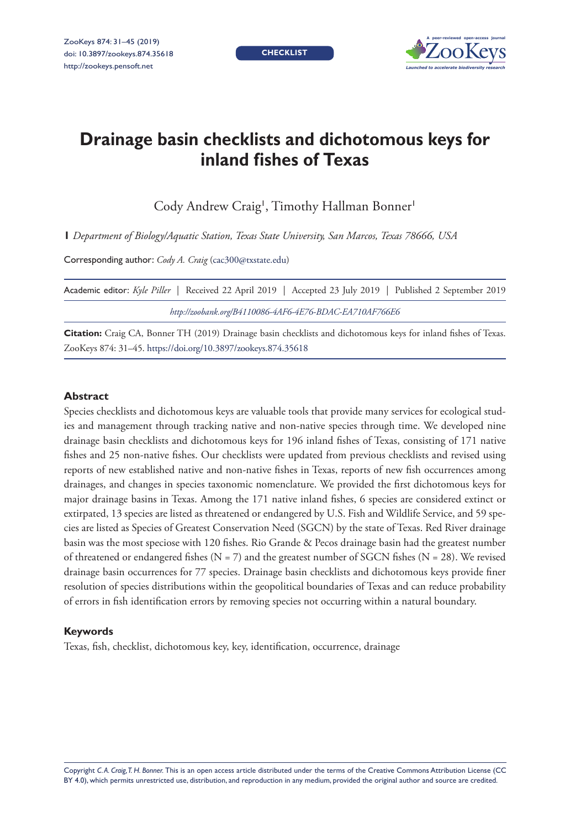**CHECKLIST**



# **Drainage basin checklists and dichotomous keys for inland fishes of Texas**

Cody Andrew Craig<sup>1</sup>, Timothy Hallman Bonner<sup>1</sup>

**1** *Department of Biology/Aquatic Station, Texas State University, San Marcos, Texas 78666, USA*

Corresponding author: *Cody A. Craig* ([cac300@txstate.edu](mailto:cac300@txstate.edu))

|  | Academic editor: Kyle Piller   Received 22 April 2019   Accepted 23 July 2019   Published 2 September 2019 |  |  |
|--|------------------------------------------------------------------------------------------------------------|--|--|
|  | http://zoobank.org/B4110086-4AF6-4E76-BDAC-EA710AF766E6                                                    |  |  |

**Citation:** Craig CA, Bonner TH (2019) Drainage basin checklists and dichotomous keys for inland fishes of Texas. ZooKeys 874: 31–45. <https://doi.org/10.3897/zookeys.874.35618>

#### **Abstract**

Species checklists and dichotomous keys are valuable tools that provide many services for ecological studies and management through tracking native and non-native species through time. We developed nine drainage basin checklists and dichotomous keys for 196 inland fishes of Texas, consisting of 171 native fishes and 25 non-native fishes. Our checklists were updated from previous checklists and revised using reports of new established native and non-native fishes in Texas, reports of new fish occurrences among drainages, and changes in species taxonomic nomenclature. We provided the first dichotomous keys for major drainage basins in Texas. Among the 171 native inland fishes, 6 species are considered extinct or extirpated, 13 species are listed as threatened or endangered by U.S. Fish and Wildlife Service, and 59 species are listed as Species of Greatest Conservation Need (SGCN) by the state of Texas. Red River drainage basin was the most speciose with 120 fishes. Rio Grande & Pecos drainage basin had the greatest number of threatened or endangered fishes ( $N = 7$ ) and the greatest number of SGCN fishes ( $N = 28$ ). We revised drainage basin occurrences for 77 species. Drainage basin checklists and dichotomous keys provide finer resolution of species distributions within the geopolitical boundaries of Texas and can reduce probability of errors in fish identification errors by removing species not occurring within a natural boundary.

#### **Keywords**

Texas, fish, checklist, dichotomous key, key, identification, occurrence, drainage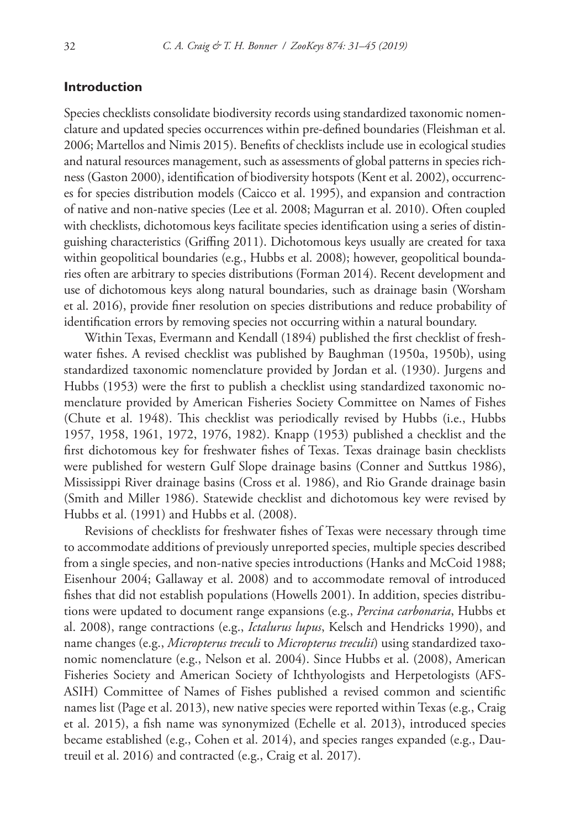# **Introduction**

Species checklists consolidate biodiversity records using standardized taxonomic nomenclature and updated species occurrences within pre-defined boundaries (Fleishman et al. 2006; Martellos and Nimis 2015). Benefits of checklists include use in ecological studies and natural resources management, such as assessments of global patterns in species richness (Gaston 2000), identification of biodiversity hotspots (Kent et al. 2002), occurrences for species distribution models (Caicco et al. 1995), and expansion and contraction of native and non-native species (Lee et al. 2008; Magurran et al. 2010). Often coupled with checklists, dichotomous keys facilitate species identification using a series of distinguishing characteristics (Griffing 2011). Dichotomous keys usually are created for taxa within geopolitical boundaries (e.g., Hubbs et al. 2008); however, geopolitical boundaries often are arbitrary to species distributions (Forman 2014). Recent development and use of dichotomous keys along natural boundaries, such as drainage basin (Worsham et al. 2016), provide finer resolution on species distributions and reduce probability of identification errors by removing species not occurring within a natural boundary.

Within Texas, Evermann and Kendall (1894) published the first checklist of freshwater fishes. A revised checklist was published by Baughman (1950a, 1950b), using standardized taxonomic nomenclature provided by Jordan et al. (1930). Jurgens and Hubbs (1953) were the first to publish a checklist using standardized taxonomic nomenclature provided by American Fisheries Society Committee on Names of Fishes (Chute et al. 1948). This checklist was periodically revised by Hubbs (i.e., Hubbs 1957, 1958, 1961, 1972, 1976, 1982). Knapp (1953) published a checklist and the first dichotomous key for freshwater fishes of Texas. Texas drainage basin checklists were published for western Gulf Slope drainage basins (Conner and Suttkus 1986), Mississippi River drainage basins (Cross et al. 1986), and Rio Grande drainage basin (Smith and Miller 1986). Statewide checklist and dichotomous key were revised by Hubbs et al. (1991) and Hubbs et al. (2008).

Revisions of checklists for freshwater fishes of Texas were necessary through time to accommodate additions of previously unreported species, multiple species described from a single species, and non-native species introductions (Hanks and McCoid 1988; Eisenhour 2004; Gallaway et al. 2008) and to accommodate removal of introduced fishes that did not establish populations (Howells 2001). In addition, species distributions were updated to document range expansions (e.g., *Percina carbonaria*, Hubbs et al. 2008), range contractions (e.g., *Ictalurus lupus*, Kelsch and Hendricks 1990), and name changes (e.g., *Micropterus treculi* to *Micropterus treculii*) using standardized taxonomic nomenclature (e.g., Nelson et al. 2004). Since Hubbs et al. (2008), American Fisheries Society and American Society of Ichthyologists and Herpetologists (AFS-ASIH) Committee of Names of Fishes published a revised common and scientific names list (Page et al. 2013), new native species were reported within Texas (e.g., Craig et al. 2015), a fish name was synonymized (Echelle et al. 2013), introduced species became established (e.g., Cohen et al. 2014), and species ranges expanded (e.g., Dautreuil et al. 2016) and contracted (e.g., Craig et al. 2017).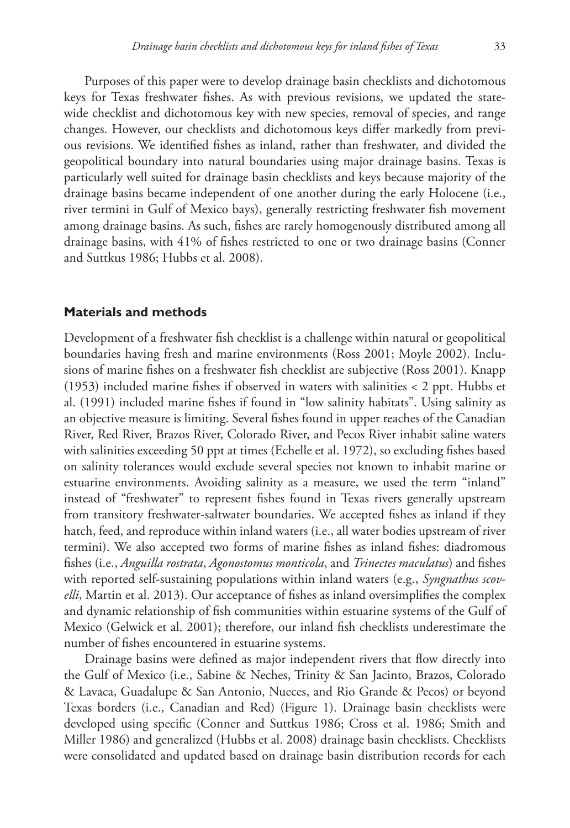Purposes of this paper were to develop drainage basin checklists and dichotomous keys for Texas freshwater fishes. As with previous revisions, we updated the statewide checklist and dichotomous key with new species, removal of species, and range changes. However, our checklists and dichotomous keys differ markedly from previous revisions. We identified fishes as inland, rather than freshwater, and divided the geopolitical boundary into natural boundaries using major drainage basins. Texas is particularly well suited for drainage basin checklists and keys because majority of the drainage basins became independent of one another during the early Holocene (i.e., river termini in Gulf of Mexico bays), generally restricting freshwater fish movement among drainage basins. As such, fishes are rarely homogenously distributed among all drainage basins, with 41% of fishes restricted to one or two drainage basins (Conner and Suttkus 1986; Hubbs et al. 2008).

### **Materials and methods**

Development of a freshwater fish checklist is a challenge within natural or geopolitical boundaries having fresh and marine environments (Ross 2001; Moyle 2002). Inclusions of marine fishes on a freshwater fish checklist are subjective (Ross 2001). Knapp (1953) included marine fishes if observed in waters with salinities < 2 ppt. Hubbs et al. (1991) included marine fishes if found in "low salinity habitats". Using salinity as an objective measure is limiting. Several fishes found in upper reaches of the Canadian River, Red River, Brazos River, Colorado River, and Pecos River inhabit saline waters with salinities exceeding 50 ppt at times (Echelle et al. 1972), so excluding fishes based on salinity tolerances would exclude several species not known to inhabit marine or estuarine environments. Avoiding salinity as a measure, we used the term "inland" instead of "freshwater" to represent fishes found in Texas rivers generally upstream from transitory freshwater-saltwater boundaries. We accepted fishes as inland if they hatch, feed, and reproduce within inland waters (i.e., all water bodies upstream of river termini). We also accepted two forms of marine fishes as inland fishes: diadromous fishes (i.e., *Anguilla rostrata*, *Agonostomus monticola*, and *Trinectes maculatus*) and fishes with reported self-sustaining populations within inland waters (e.g., *Syngnathus scovelli*, Martin et al. 2013). Our acceptance of fishes as inland oversimplifies the complex and dynamic relationship of fish communities within estuarine systems of the Gulf of Mexico (Gelwick et al. 2001); therefore, our inland fish checklists underestimate the number of fishes encountered in estuarine systems.

Drainage basins were defined as major independent rivers that flow directly into the Gulf of Mexico (i.e., Sabine & Neches, Trinity & San Jacinto, Brazos, Colorado & Lavaca, Guadalupe & San Antonio, Nueces, and Rio Grande & Pecos) or beyond Texas borders (i.e., Canadian and Red) (Figure 1). Drainage basin checklists were developed using specific (Conner and Suttkus 1986; Cross et al. 1986; Smith and Miller 1986) and generalized (Hubbs et al. 2008) drainage basin checklists. Checklists were consolidated and updated based on drainage basin distribution records for each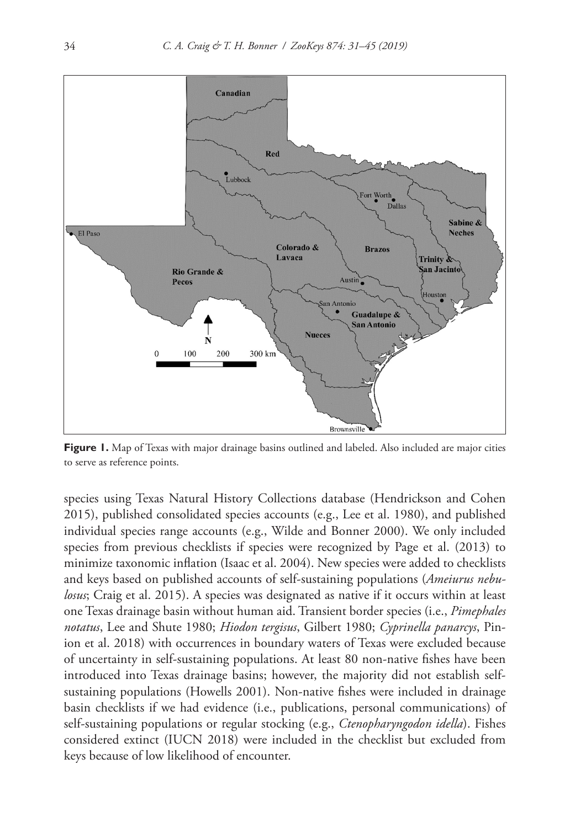

**Figure 1.** Map of Texas with major drainage basins outlined and labeled. Also included are major cities to serve as reference points.

species using Texas Natural History Collections database (Hendrickson and Cohen 2015), published consolidated species accounts (e.g., Lee et al. 1980), and published individual species range accounts (e.g., Wilde and Bonner 2000). We only included species from previous checklists if species were recognized by Page et al. (2013) to minimize taxonomic inflation (Isaac et al. 2004). New species were added to checklists and keys based on published accounts of self-sustaining populations (*Ameiurus nebulosus*; Craig et al. 2015). A species was designated as native if it occurs within at least one Texas drainage basin without human aid. Transient border species (i.e., *Pimephales notatus*, Lee and Shute 1980; *Hiodon tergisus*, Gilbert 1980; *Cyprinella panarcys*, Pinion et al. 2018) with occurrences in boundary waters of Texas were excluded because of uncertainty in self-sustaining populations. At least 80 non-native fishes have been introduced into Texas drainage basins; however, the majority did not establish selfsustaining populations (Howells 2001). Non-native fishes were included in drainage basin checklists if we had evidence (i.e., publications, personal communications) of self-sustaining populations or regular stocking (e.g., *Ctenopharyngodon idella*). Fishes considered extinct (IUCN 2018) were included in the checklist but excluded from keys because of low likelihood of encounter.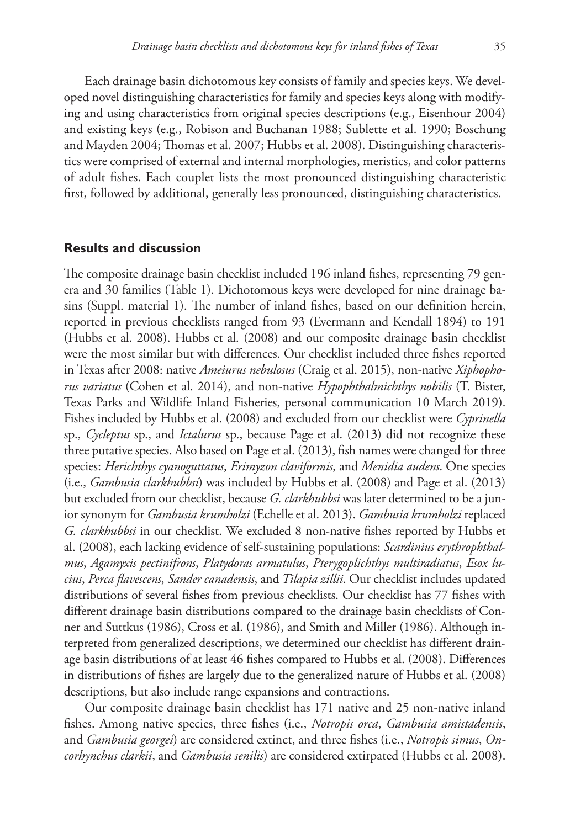Each drainage basin dichotomous key consists of family and species keys. We developed novel distinguishing characteristics for family and species keys along with modifying and using characteristics from original species descriptions (e.g., Eisenhour 2004) and existing keys (e.g., Robison and Buchanan 1988; Sublette et al. 1990; Boschung and Mayden 2004; Thomas et al. 2007; Hubbs et al. 2008). Distinguishing characteristics were comprised of external and internal morphologies, meristics, and color patterns of adult fishes. Each couplet lists the most pronounced distinguishing characteristic first, followed by additional, generally less pronounced, distinguishing characteristics.

# **Results and discussion**

The composite drainage basin checklist included 196 inland fishes, representing 79 genera and 30 families (Table 1). Dichotomous keys were developed for nine drainage basins (Suppl. material 1). The number of inland fishes, based on our definition herein, reported in previous checklists ranged from 93 (Evermann and Kendall 1894) to 191 (Hubbs et al. 2008). Hubbs et al. (2008) and our composite drainage basin checklist were the most similar but with differences. Our checklist included three fishes reported in Texas after 2008: native *Ameiurus nebulosus* (Craig et al. 2015), non-native *Xiphophorus variatus* (Cohen et al. 2014), and non-native *Hypophthalmichthys nobilis* (T. Bister, Texas Parks and Wildlife Inland Fisheries, personal communication 10 March 2019). Fishes included by Hubbs et al. (2008) and excluded from our checklist were *Cyprinella* sp., *Cycleptus* sp., and *Ictalurus* sp., because Page et al. (2013) did not recognize these three putative species. Also based on Page et al. (2013), fish names were changed for three species: *Herichthys cyanoguttatus*, *Erimyzon claviformis*, and *Menidia audens*. One species (i.e., *Gambusia clarkhubbsi*) was included by Hubbs et al. (2008) and Page et al. (2013) but excluded from our checklist, because *G. clarkhubbsi* was later determined to be a junior synonym for *Gambusia krumholzi* (Echelle et al. 2013). *Gambusia krumholzi* replaced *G. clarkhubbsi* in our checklist. We excluded 8 non-native fishes reported by Hubbs et al. (2008), each lacking evidence of self-sustaining populations: *Scardinius erythrophthalmus*, *Agamyxis pectinifrons*, *Platydoras armatulus*, *Pterygoplichthys multiradiatus*, *Esox lucius*, *Perca flavescens*, *Sander canadensis*, and *Tilapia zillii*. Our checklist includes updated distributions of several fishes from previous checklists. Our checklist has 77 fishes with different drainage basin distributions compared to the drainage basin checklists of Conner and Suttkus (1986), Cross et al. (1986), and Smith and Miller (1986). Although interpreted from generalized descriptions, we determined our checklist has different drainage basin distributions of at least 46 fishes compared to Hubbs et al. (2008). Differences in distributions of fishes are largely due to the generalized nature of Hubbs et al. (2008) descriptions, but also include range expansions and contractions.

Our composite drainage basin checklist has 171 native and 25 non-native inland fishes. Among native species, three fishes (i.e., *Notropis orca*, *Gambusia amistadensis*, and *Gambusia georgei*) are considered extinct, and three fishes (i.e., *Notropis simus*, *Oncorhynchus clarkii*, and *Gambusia senilis*) are considered extirpated (Hubbs et al. 2008).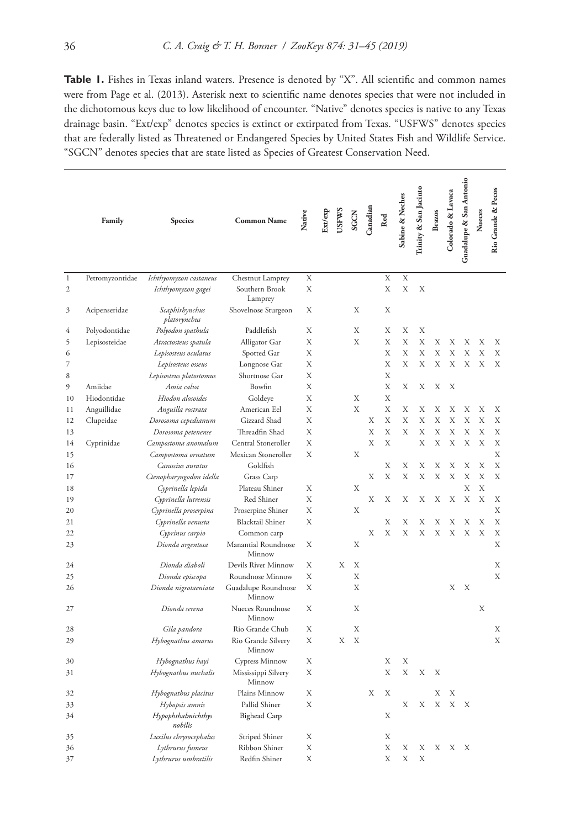Table 1. Fishes in Texas inland waters. Presence is denoted by "X". All scientific and common names were from Page et al. (2013). Asterisk next to scientific name denotes species that were not included in the dichotomous keys due to low likelihood of encounter. "Native" denotes species is native to any Texas drainage basin. "Ext/exp" denotes species is extinct or extirpated from Texas. "USFWS" denotes species that are federally listed as Threatened or Endangered Species by United States Fish and Wildlife Service. "SGCN" denotes species that are state listed as Species of Greatest Conservation Need.

|                | Family          | <b>Species</b>                 | <b>Common Name</b>            | Native | Ext/exp | <b>USFWS</b> | SGCN | Canadian | Red       | Sabine & Neches | Trinity & San Jacinto | <b>Brazos</b> | Colorado & Lavaca | Guadalupe & San Antonio | Nueces | Rio Grande & Pecos |
|----------------|-----------------|--------------------------------|-------------------------------|--------|---------|--------------|------|----------|-----------|-----------------|-----------------------|---------------|-------------------|-------------------------|--------|--------------------|
| $\mathbf{1}$   | Petromyzontidae | Ichthyomyzon castaneus         | Chestnut Lamprey              | X      |         |              |      |          | X         | X               |                       |               |                   |                         |        |                    |
| $\overline{2}$ |                 | Ichthyomyzon gagei             | Southern Brook<br>Lamprey     | X      |         |              |      |          | X         | X               | X                     |               |                   |                         |        |                    |
| 3              | Acipenseridae   | Scaphirhynchus<br>platorynchus | Shovelnose Sturgeon           | Х      |         |              | Х    |          | Х         |                 |                       |               |                   |                         |        |                    |
| 4              | Polyodontidae   | Polyodon spathula              | Paddlefish                    | Х      |         |              | Х    |          | Х         | Х               | Х                     |               |                   |                         |        |                    |
| 5              | Lepisosteidae   | Atractosteus spatula           | Alligator Gar                 | Х      |         |              | Х    |          | Х         | Χ               | Х                     | Х             | Х                 | Х                       | Х      | Х                  |
| 6              |                 | Lepisosteus oculatus           | Spotted Gar                   | Χ      |         |              |      |          | X         | X               | X                     | X             | X                 | X                       | X      | X                  |
| $\overline{7}$ |                 | Lepisosteus osseus             | Longnose Gar                  | X      |         |              |      |          | X         | X               | X                     | X             | X                 | X                       | X      | X                  |
| 8              |                 | Lepisosteus platostomus        | Shortnose Gar                 | Χ      |         |              |      |          | X         |                 |                       |               |                   |                         |        |                    |
| 9              | Amiidae         | Amia calva                     | Bowfin                        | X      |         |              |      |          | X         | X               | X                     | X             | X                 |                         |        |                    |
| 10             | Hiodontidae     | Hiodon alosoides               | Goldeye                       | X      |         |              | X    |          | X         |                 |                       |               |                   |                         |        |                    |
| 11             | Anguillidae     | Anguilla rostrata              | American Eel                  | X      |         |              | X    |          | X         | Х               | Х                     | Х             | Χ                 | Х                       | Χ      | Χ                  |
| 12             | Clupeidae       | Dorosoma cepedianum            | Gizzard Shad                  | X      |         |              |      | X        | X         | X               | X                     | X             | X                 | X                       | X      | X                  |
| 13             |                 | Dorosoma petenense             | Threadfin Shad                | X      |         |              |      | X        | Х         | Х               | X                     | X             | X                 | X                       | X      | X                  |
| 14             | Cyprinidae      | Campostoma anomalum            | Central Stoneroller           | X      |         |              |      | X        | X         |                 | X                     | X             | X                 | X                       | X      | X                  |
| 15             |                 | Campostoma ornatum             | Mexican Stoneroller           | X      |         |              | Х    |          |           |                 |                       |               |                   |                         |        | X                  |
| 16             |                 | Carassius auratus              | Goldfish                      |        |         |              |      |          | Х         | Χ               | Х                     | X             | Х                 | Х                       | X      | X                  |
| 17             |                 | Ctenopharyngodon idella        | Grass Carp                    |        |         |              |      | X        | X         | X               | X                     | X             | X                 | X                       | X      | X                  |
| 18             |                 | Cyprinella lepida              | Plateau Shiner                | X      |         |              | X    |          |           |                 |                       |               |                   | X                       | X      |                    |
| 19             |                 | Cyprinella lutrensis           | Red Shiner                    | Χ      |         |              |      | X        | X         | X               | Х                     | Х             | Χ                 | Χ                       | X      | X                  |
| 20             |                 | Cyprinella proserpina          | Proserpine Shiner             | X      |         |              | X    |          |           |                 |                       |               |                   |                         |        | X                  |
| 21             |                 | Cyprinella venusta             | <b>Blacktail Shiner</b>       | X      |         |              |      |          | Х         | Χ               | Х                     | Х             | Χ                 | Х                       | X      | X                  |
| 22             |                 | Cyprinus carpio                | Common carp                   |        |         |              |      | Х        | X         | X               | X                     | Х             | X                 | X                       | X      | X                  |
| 23             |                 | Dionda argentosa               | Manantial Roundnose<br>Minnow | Х      |         |              | Χ    |          |           |                 |                       |               |                   |                         |        | X                  |
| 24             |                 | Dionda diaboli                 | Devils River Minnow           | Х      |         | Х            | Х    |          |           |                 |                       |               |                   |                         |        | Х                  |
| 25             |                 | Dionda episcopa                | Roundnose Minnow              | X      |         |              | X    |          |           |                 |                       |               |                   |                         |        | X                  |
| 26             |                 | Dionda nigrotaeniata           | Guadalupe Roundnose<br>Minnow | X      |         |              | X    |          |           |                 |                       |               | Х                 | Х                       |        |                    |
| 27             |                 | Dionda serena                  | Nueces Roundnose<br>Minnow    | X      |         |              | X    |          |           |                 |                       |               |                   |                         | X      |                    |
| 28             |                 | Gila pandora                   | Rio Grande Chub               | Х      |         |              | Х    |          |           |                 |                       |               |                   |                         |        | Х                  |
| 29             |                 | Hybognathus amarus             | Rio Grande Silvery<br>Minnow  | X      |         | X            | X    |          |           |                 |                       |               |                   |                         |        | X                  |
| 30             |                 | Hybognathus hayi               | Cypress Minnow                | Х      |         |              |      |          | Х         | Х               |                       |               |                   |                         |        |                    |
| 31             |                 | Hybognathus nuchalis           | Mississippi Silvery<br>Minnow | X      |         |              |      |          | X         | X               | X                     | X             |                   |                         |        |                    |
| 32             |                 | Hybognathus placitus           | Plains Minnow                 | Х      |         |              |      | X        | Х         |                 |                       | Х             | Χ                 |                         |        |                    |
| 33             |                 | Hybopsis amnis                 | Pallid Shiner                 | X      |         |              |      |          |           | X               | X                     | X             | X                 | X                       |        |                    |
| 34             |                 | Hypophthalmichthys<br>nobilis  | <b>Bighead Carp</b>           |        |         |              |      |          | X         |                 |                       |               |                   |                         |        |                    |
| 35             |                 | Luxilus chrysocephalus         | Striped Shiner                | X      |         |              |      |          | X         |                 |                       |               |                   |                         |        |                    |
| 36             |                 | Lythrurus fumeus               | Ribbon Shiner                 | X      |         |              |      |          | X         | X               | X                     | X             | Х                 | X                       |        |                    |
| 37             |                 | Lythrurus umbratilis           | Redfin Shiner                 | X      |         |              |      |          | $\bar{X}$ | X               | X                     |               |                   |                         |        |                    |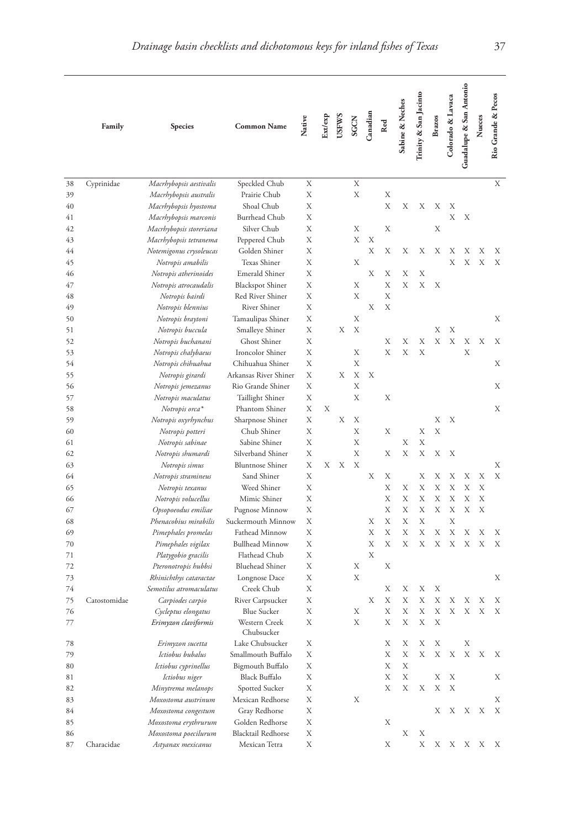|          | Family       | Species                                   | <b>Common Name</b>          | Native | Ext/exp | <b>USFWS</b> | <b>SGCN</b> | Canadian | Red | sabine & Neches | Trinity & San Jacinto | <b>Brazos</b> | Colorado & Lavaca | Guadalupe & San Antonio | Nueces | Rio Grande & Pecos |
|----------|--------------|-------------------------------------------|-----------------------------|--------|---------|--------------|-------------|----------|-----|-----------------|-----------------------|---------------|-------------------|-------------------------|--------|--------------------|
| 38       | Cyprinidae   | Macrhybopsis aestivalis                   | Speckled Chub               | Χ      |         |              | X           |          |     |                 |                       |               |                   |                         |        | X                  |
| 39       |              | Macrhybopsis australis                    | Prairie Chub                | Х      |         |              | X           |          | X   |                 |                       |               |                   |                         |        |                    |
| 40       |              | Macrhybopsis hyostoma                     | Shoal Chub                  | Х      |         |              |             |          | X   | Х               | Х                     | Х             | Х                 |                         |        |                    |
| 41       |              | Macrhybopsis marconis                     | Burrhead Chub               | Х      |         |              |             |          |     |                 |                       |               | Χ                 | Х                       |        |                    |
| 42       |              | Macrhybopsis storeriana                   | Silver Chub                 | Х      |         |              | Х           |          | Х   |                 |                       | Х             |                   |                         |        |                    |
| 43       |              | Macrhybopsis tetranema                    | Peppered Chub               | Χ      |         |              | Х           | Х        |     |                 |                       |               |                   |                         |        |                    |
| 44       |              | Notemigonus crysoleucas                   | Golden Shiner               | Х      |         |              |             | Х        | Х   | Х               | X                     | Х             | Х                 | Х                       | Х      | Х                  |
| 45       |              | Notropis amabilis                         | Texas Shiner                | Х      |         |              | X           |          |     |                 |                       |               | X                 | X                       | X      | X                  |
| 46       |              | Notropis atherinoides                     | Emerald Shiner              | Х      |         |              |             | Х        | Х   | Х               | X                     |               |                   |                         |        |                    |
| 47       |              | Notropis atrocaudalis                     | <b>Blackspot Shiner</b>     | Х      |         |              | Х           |          | X   | X               | X                     | Х             |                   |                         |        |                    |
| 48       |              | Notropis bairdi                           | Red River Shiner            | Х      |         |              | X           |          | X   |                 |                       |               |                   |                         |        |                    |
| 49       |              | Notropis blennius                         | <b>River Shiner</b>         | Х      |         |              |             | Х        | X   |                 |                       |               |                   |                         |        |                    |
| 50       |              | Notropis braytoni                         | Tamaulipas Shiner           | Х      |         |              | X           |          |     |                 |                       |               |                   |                         |        | Х                  |
| 51       |              | Notropis buccula                          | Smalleye Shiner             | Х      |         | Х            | Х           |          |     |                 |                       | Х             | Х                 |                         |        |                    |
| 52       |              | Notropis buchanani                        | Ghost Shiner                | Х      |         |              |             |          | Х   | Χ               | X                     | X             | X                 | Х                       | Х      | Х                  |
|          |              |                                           | Ironcolor Shiner            | Х      |         |              | Х           |          | X   | X               | X                     |               |                   | X                       |        |                    |
| 53<br>54 |              | Notropis chalybaeus<br>Notropis chihuahua | Chihuahua Shiner            | Х      |         |              | X           |          |     |                 |                       |               |                   |                         |        | Х                  |
|          |              |                                           | Arkansas River Shiner       | Х      |         | Χ            | X           | Х        |     |                 |                       |               |                   |                         |        |                    |
| 55       |              | Notropis girardi                          |                             | Χ      |         |              | X           |          |     |                 |                       |               |                   |                         |        |                    |
| 56       |              | Notropis jemezanus                        | Rio Grande Shiner           | Χ      |         |              | X           |          | Х   |                 |                       |               |                   |                         |        | Х                  |
| 57       |              | Notropis maculatus                        | Taillight Shiner            | X      | Χ       |              |             |          |     |                 |                       |               |                   |                         |        |                    |
| 58       |              | Notropis orca*                            | Phantom Shiner              |        |         |              |             |          |     |                 |                       |               |                   |                         |        | Х                  |
| 59       |              | Notropis oxyrhynchus                      | Sharpnose Shiner            | Χ      |         | Χ            | Х<br>X      |          |     |                 |                       | Х<br>X        | Х                 |                         |        |                    |
| 60       |              | Notropis potteri                          | Chub Shiner                 | Х      |         |              |             |          | Х   |                 | Х                     |               |                   |                         |        |                    |
| 61       |              | Notropis sabinae                          | Sabine Shiner               | Х      |         |              | Х           |          |     | Χ               | X                     |               |                   |                         |        |                    |
| 62       |              | Notropis shumardi                         | Silverband Shiner           | X      |         |              | X           |          | Х   | X               | X                     | X             | Х                 |                         |        |                    |
| 63       |              | Notropis simus                            | <b>Bluntnose Shiner</b>     | Х      | Х       | Х            | Х           |          |     |                 |                       |               |                   |                         |        | Х                  |
| 64       |              | Notropis stramineus                       | Sand Shiner                 | X      |         |              |             | Х        | Х   |                 | Х                     | Х             | Х                 | Χ                       | Х      | X                  |
| 65       |              | Notropis texanus                          | Weed Shiner                 | Х      |         |              |             |          | X   | Χ               | X                     | X             | X                 | X                       | X      |                    |
| 66       |              | Notropis volucellus                       | Mimic Shiner                | Х      |         |              |             |          | Х   | Х               | Х                     | Х             | X                 | X                       | Х      |                    |
| 67       |              | Opsopoeodus emiliae                       | Pugnose Minnow              | Χ      |         |              |             |          | X   | Χ               | X                     | Х             | Х                 | X                       | X      |                    |
| 68       |              | Phenacobius mirabilis                     | Suckermouth Minnow          | Х      |         |              |             | Х        | X   | X               | X                     |               | X                 |                         |        |                    |
| 69       |              | Pimephales promelas                       | Fathead Minnow              | Χ      |         |              |             | Х        | X   | Χ               | X                     | Х             | Х                 | Х                       | Х      | Х                  |
| 70       |              | Pimephales vigilax                        | Bullhead Minnow             | Х      |         |              |             | X        | X   | X               | X                     | X             | X                 | X                       | X      | X                  |
| 71       |              | Platygobio gracilis                       | Flathead Chub               | Х      |         |              |             | X        |     |                 |                       |               |                   |                         |        |                    |
| 72       |              | Pteronotropis hubbsi                      | <b>Bluehead Shiner</b>      | Х      |         |              | Х           |          | Х   |                 |                       |               |                   |                         |        |                    |
| 73       |              | Rhinichthys cataractae                    | Longnose Dace               | Х      |         |              | X           |          |     |                 |                       |               |                   |                         |        | Χ                  |
| 74       |              | Semotilus atromaculatus                   | Creek Chub                  | Х      |         |              |             |          | Х   | Х               | X                     | Х             |                   |                         |        |                    |
| 75       | Catostomidae | Carpiodes carpio                          | River Carpsucker            | Х      |         |              |             | Х        | X   | X               | X                     | X             | Х                 | Х                       | Х      | Х                  |
| 76       |              | Cycleptus elongatus                       | <b>Blue Sucker</b>          | Х      |         |              | Х           |          | X   | X               | X                     | X             | X                 | X                       | X      | Х                  |
| 77       |              | Erimyzon claviformis                      | Western Creek<br>Chubsucker | Х      |         |              | Х           |          | Х   | Х               | Х                     | Х             |                   |                         |        |                    |
| 78       |              | Erimyzon sucetta                          | Lake Chubsucker             | Х      |         |              |             |          | Х   | Х               | Х                     | Х             |                   | Х                       |        |                    |
| 79       |              | Ictiobus bubalus                          | Smallmouth Buffalo          | Х      |         |              |             |          | Х   | Χ               | Х                     | Х             | Х                 | Х                       | Х      | Х                  |
| 80       |              | Ictiobus cyprinellus                      | Bigmouth Buffalo            | Х      |         |              |             |          | Х   | Х               |                       |               |                   |                         |        |                    |
| 81       |              | Ictiobus niger                            | Black Buffalo               | Х      |         |              |             |          | Х   | Х               |                       | Х             | Х                 |                         |        | Χ                  |
| 82       |              | Minytrema melanops                        | Spotted Sucker              | Х      |         |              |             |          | Х   | Х               | Х                     | Х             | Х                 |                         |        |                    |
| 83       |              | Moxostoma austrinum                       | Mexican Redhorse            | Х      |         |              | Х           |          |     |                 |                       |               |                   |                         |        | Х                  |
| 84       |              | Moxostoma congestum                       | Gray Redhorse               | Х      |         |              |             |          |     |                 |                       | Х             | Χ                 | Х                       | Х      | Χ                  |
| 85       |              | Moxostoma erythrurum                      | Golden Redhorse             | Х      |         |              |             |          | Х   |                 |                       |               |                   |                         |        |                    |
| 86       |              | Moxostoma poecilurum                      | <b>Blacktail Redhorse</b>   | Х      |         |              |             |          |     | Х               | Х                     |               |                   |                         |        |                    |
| 87       | Characidae   | Astyanax mexicanus                        | Mexican Tetra               | Х      |         |              |             |          | Х   |                 | Х                     |               |                   | X X X X                 |        | Х                  |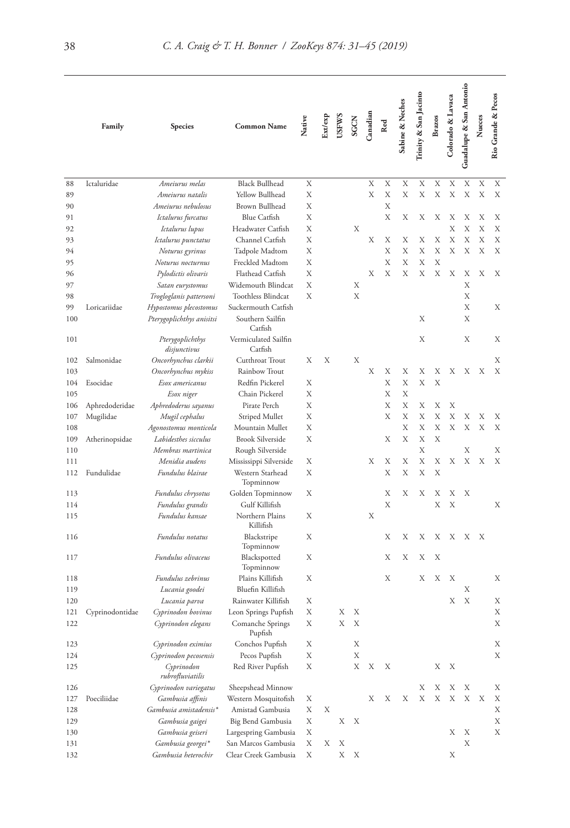|     | Family          | Species                              | <b>Common Name</b>              | Native | Ext/exp | <b>USFWS</b> | <b>SGCN</b> | Canadian | Red | Sabine & Neches | Trinity & San Jacinto | <b>Brazos</b> | Colorado & Lavaca | Guadalupe & San Antonio | Nueces | Rio Grande & Pecos |
|-----|-----------------|--------------------------------------|---------------------------------|--------|---------|--------------|-------------|----------|-----|-----------------|-----------------------|---------------|-------------------|-------------------------|--------|--------------------|
| 88  | Ictaluridae     | Ameiurus melas                       | <b>Black Bullhead</b>           | Х      |         |              |             | X        | X   | X               | X                     | X             | Χ                 | Х                       | X      | Χ                  |
| 89  |                 | Ameiurus natalis                     | Yellow Bullhead                 | Х      |         |              |             | Х        | X   | X               | X                     | X             | X                 | X                       | X      | Х                  |
| 90  |                 | Ameiurus nebulosus                   | Brown Bullhead                  | Х      |         |              |             |          | X   |                 |                       |               |                   |                         |        |                    |
| 91  |                 | Ictalurus furcatus                   | Blue Catfish                    | Х      |         |              |             |          | X   | Х               | Х                     | Х             | Х                 | Х                       | Х      | Х                  |
| 92  |                 | Ictalurus lupus                      | Headwater Catfish               | Х      |         |              | Х           |          |     |                 |                       |               | X                 | X                       | Х      | Х                  |
| 93  |                 | Ictalurus punctatus                  | Channel Catfish                 | Х      |         |              |             | Х        | Х   | Х               | Х                     | Х             | Х                 | Х                       | X      | Х                  |
|     |                 |                                      |                                 | Х      |         |              |             |          | X   | Х               | X                     | X             | X                 | X                       | X      | X                  |
| 94  |                 | Noturus gyrinus<br>Noturus nocturnus | Tadpole Madtom                  | Х      |         |              |             |          | X   | Χ               | X                     | X             |                   |                         |        |                    |
| 95  |                 |                                      | Freckled Madtom                 |        |         |              |             |          |     |                 | X                     |               |                   |                         |        |                    |
| 96  |                 | Pylodictis olivaris                  | Flathead Catfish                | Х      |         |              |             | Х        | X   | Х               |                       | Х             | Х                 | Х                       | Х      | Х                  |
| 97  |                 | Satan eurystomus                     | Widemouth Blindcat              | Х      |         |              | Х           |          |     |                 |                       |               |                   | Х                       |        |                    |
| 98  |                 | Trogloglanis pattersoni              | <b>Toothless Blindcat</b>       | Х      |         |              | X           |          |     |                 |                       |               |                   | X                       |        |                    |
| 99  | Loricariidae    | Hypostomus plecostomus               | Suckermouth Catfish             |        |         |              |             |          |     |                 |                       |               |                   | Х                       |        | Χ                  |
| 100 |                 | Pterygoplichthys anisitsi            | Southern Sailfin<br>Catfish     |        |         |              |             |          |     |                 | X                     |               |                   | Х                       |        |                    |
| 101 |                 | Pterygoplichthys<br>disjunctivus     | Vermiculated Sailfin<br>Catfish |        |         |              |             |          |     |                 | X                     |               |                   | Х                       |        | Х                  |
| 102 | Salmonidae      | Oncorhynchus clarkii                 | Cutthroat Trout                 | Х      | Х       |              | Х           |          |     |                 |                       |               |                   |                         |        | Х                  |
| 103 |                 | Oncorhynchus mykiss                  | Rainbow Trout                   |        |         |              |             | Х        | Х   | Х               | X                     | Х             | Х                 | Х                       | Х      | Х                  |
| 104 | Esocidae        | Esox americanus                      | Redfin Pickerel                 | Х      |         |              |             |          | X   | X               | X                     | X             |                   |                         |        |                    |
| 105 |                 | Esox niger                           | Chain Pickerel                  | Х      |         |              |             |          | Х   | X               |                       |               |                   |                         |        |                    |
| 106 | Aphredoderidae  | Aphredoderus sayanus                 | Pirate Perch                    | Х      |         |              |             |          | X   | Х               | Х                     | Х             | Х                 |                         |        |                    |
| 107 | Mugilidae       | Mugil cephalus                       | Striped Mullet                  | Х      |         |              |             |          | X   | Χ               | X                     | X             | X                 | Х                       | Х      | Х                  |
| 108 |                 | Agonostomus monticola                | Mountain Mullet                 | Х      |         |              |             |          |     | X               | X                     | X             | X                 | X                       | X      | Х                  |
| 109 | Atherinopsidae  | Labidesthes sicculus                 | <b>Brook Silverside</b>         | Х      |         |              |             |          | Х   | X               | X                     | X             |                   |                         |        |                    |
| 110 |                 | Membras martinica                    | Rough Silverside                |        |         |              |             |          |     |                 | X                     |               |                   | Χ                       |        | Х                  |
| 111 |                 | Menidia audens                       | Mississippi Silverside          | Х      |         |              |             | Х        | Х   | Х               | Х                     | Х             | Х                 | Х                       | Х      | X                  |
| 112 | Fundulidae      | Fundulus blairae                     | Western Starhead<br>Topminnow   | Х      |         |              |             |          | X   | X               | X                     | X             |                   |                         |        |                    |
| 113 |                 | Fundulus chrysotus                   | Golden Topminnow                | Х      |         |              |             |          | Х   | Χ               | Х                     | Х             | Х                 | Х                       |        |                    |
| 114 |                 | Fundulus grandis                     | Gulf Killifish                  |        |         |              |             |          | X   |                 |                       | X             | X                 |                         |        | Χ                  |
| 115 |                 | Fundulus kansae                      | Northern Plains<br>Killifish    | Х      |         |              |             | Х        |     |                 |                       |               |                   |                         |        |                    |
| 116 |                 | Fundulus notatus                     | Blackstripe<br>Topminnow        | Х      |         |              |             |          | X   | Х               | Х                     | Х             | Х                 | Х                       | X      |                    |
| 117 |                 | Fundulus olivaceus                   | Blackspotted<br>Topminnow       | Х      |         |              |             |          | Х   | Χ               | Х                     | Х             |                   |                         |        |                    |
| 118 |                 | Fundulus zebrinus                    | Plains Killifish                | Х      |         |              |             |          | Х   |                 | Х                     | Х             | Х                 |                         |        | Х                  |
| 119 |                 | Lucania goodei                       | Bluefin Killifish               |        |         |              |             |          |     |                 |                       |               |                   | Х                       |        |                    |
| 120 |                 | Lucania parva                        | Rainwater Killifish             | Χ      |         |              |             |          |     |                 |                       |               | Х                 | Х                       |        | Х                  |
| 121 | Cyprinodontidae | Cyprinodon bovinus                   | Leon Springs Pupfish            | X      |         | Χ            | Χ           |          |     |                 |                       |               |                   |                         |        | Х                  |
| 122 |                 | Cyprinodon elegans                   | Comanche Springs                | Χ      |         | Х            | Х           |          |     |                 |                       |               |                   |                         |        | Х                  |
| 123 |                 | Cyprinodon eximius                   | Pupfish                         | Х      |         |              | Х           |          |     |                 |                       |               |                   |                         |        | Х                  |
|     |                 |                                      | Conchos Pupfish                 |        |         |              |             |          |     |                 |                       |               |                   |                         |        |                    |
| 124 |                 | Cyprinodon pecosensis                | Pecos Pupfish                   | Х      |         |              | Х           |          |     |                 |                       |               |                   |                         |        | Х                  |
| 125 |                 | Cyprinodon<br>rubrofluviatilis       | Red River Pupfish               | Χ      |         |              | Χ           | Х        | Х   |                 |                       | Χ             | Х                 |                         |        |                    |
| 126 |                 | Cyprinodon variegatus                | Sheepshead Minnow               |        |         |              |             |          |     |                 | Х                     | Х             | Х                 | Х                       |        | Х                  |
| 127 | Poeciliidae     | Gambusia affinis                     | Western Mosquitofish            | Х      |         |              |             | Х        | Х   | Х               | Х                     | Х             | Х                 | Х                       | Х      | Х                  |
| 128 |                 | Gambusia amistadensis*               | Amistad Gambusia                | Х      | Χ       |              |             |          |     |                 |                       |               |                   |                         |        | Х                  |
| 129 |                 | Gambusia gaigei                      | Big Bend Gambusia               | Х      |         | Х            | Х           |          |     |                 |                       |               |                   |                         |        | Х                  |
| 130 |                 | Gambusia geiseri                     | Largespring Gambusia            | Х      |         |              |             |          |     |                 |                       |               | Х                 | Х                       |        | Χ                  |
| 131 |                 | Gambusia georgei*                    | San Marcos Gambusia             | Χ      | Х       | Χ            |             |          |     |                 |                       |               |                   | Х                       |        |                    |
| 132 |                 | Gambusia heterochir                  | Clear Creek Gambusia            | Х      |         | Х            | Χ           |          |     |                 |                       |               | Х                 |                         |        |                    |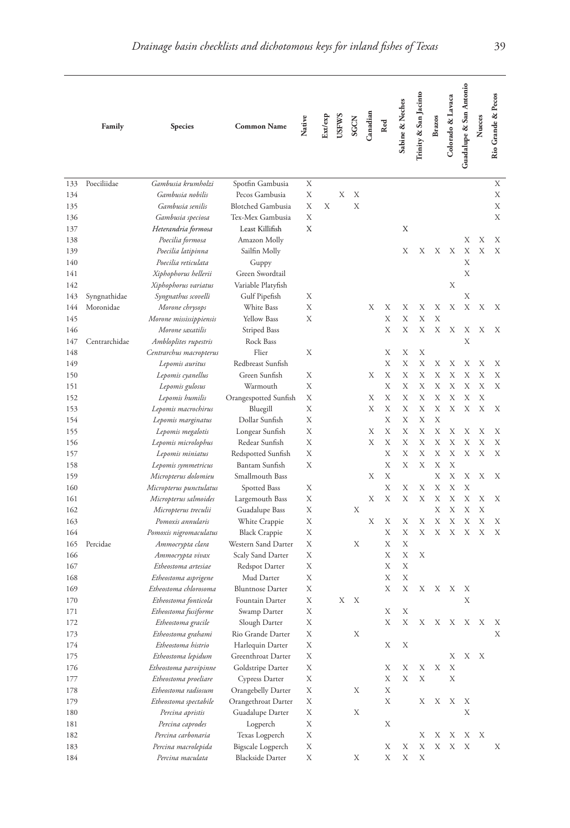|     | Family        | Species                                    | <b>Common Name</b>                | Native | Ext/exp | <b>USFWS</b> | SGCN | Canadian | Red | Sabine & Neches | Trinity & San Jacinto | <b>Brazos</b> | Colorado & Lavaca         | Guadalupe & San Antonio | Nueces                    | Rio Grande & Pecos |
|-----|---------------|--------------------------------------------|-----------------------------------|--------|---------|--------------|------|----------|-----|-----------------|-----------------------|---------------|---------------------------|-------------------------|---------------------------|--------------------|
| 133 | Poeciliidae   | Gambusia krumholzi                         | Spotfin Gambusia                  | Х      |         |              |      |          |     |                 |                       |               |                           |                         |                           | Х                  |
| 134 |               | Gambusia nobilis                           | Pecos Gambusia                    | X      |         | Х            | Х    |          |     |                 |                       |               |                           |                         |                           | Х                  |
| 135 |               | Gambusia senilis                           | <b>Blotched Gambusia</b>          | Х      | Х       |              | X    |          |     |                 |                       |               |                           |                         |                           | Х                  |
| 136 |               | Gambusia speciosa                          | Tex-Mex Gambusia                  | Х      |         |              |      |          |     |                 |                       |               |                           |                         |                           | Х                  |
| 137 |               | Heterandria formosa                        | Least Killifish                   | Х      |         |              |      |          |     | Х               |                       |               |                           |                         |                           |                    |
| 138 |               | Poecilia formosa                           | Amazon Molly                      |        |         |              |      |          |     |                 |                       |               |                           | Х                       | Х                         | Χ                  |
| 139 |               | Poecilia latipinna                         | Sailfin Molly                     |        |         |              |      |          |     | Х               | Х                     | Х             | X                         | Х                       | Х                         | X                  |
| 140 |               | Poecilia reticulata                        | Guppy                             |        |         |              |      |          |     |                 |                       |               |                           | X                       |                           |                    |
| 141 |               | Xiphophorus hellerii                       | Green Swordtail                   |        |         |              |      |          |     |                 |                       |               |                           | X                       |                           |                    |
| 142 |               | Xiphophorus variatus                       | Variable Platyfish                |        |         |              |      |          |     |                 |                       |               | Х                         |                         |                           |                    |
| 143 | Syngnathidae  | Syngnathus scovelli                        | Gulf Pipefish                     | Х      |         |              |      |          |     |                 |                       |               |                           | Х                       |                           |                    |
| 144 | Moronidae     | Morone chrysops                            | White Bass                        | Х      |         |              |      | Х        | Х   | Χ               | Х                     | Х             | Х                         | X                       | Х                         | Х                  |
| 145 |               | Morone mississippiensis                    | <b>Yellow Bass</b>                | Х      |         |              |      |          | X   | X               | X                     | X             |                           |                         |                           |                    |
| 146 |               | Morone saxatilis                           | Striped Bass                      |        |         |              |      |          | X   | X               | X                     | Х             | X                         | Х                       | Х                         | Х                  |
| 147 | Centrarchidae | Ambloplites rupestris                      | Rock Bass                         |        |         |              |      |          |     |                 |                       |               |                           | X                       |                           |                    |
| 148 |               |                                            | Flier                             | Х      |         |              |      |          | Х   | Χ               | Х                     |               |                           |                         |                           |                    |
| 149 |               | Centrarchus macropterus<br>Lepomis auritus | Redbreast Sunfish                 |        |         |              |      |          | X   | Χ               | Х                     | Х             | Х                         | Х                       | Х                         | Х                  |
|     |               | Lepomis cyanellus                          | Green Sunfish                     | Х      |         |              |      | Х        | X   | X               | X                     | Х             | Х                         | X                       | X                         | Х                  |
| 150 |               |                                            |                                   | Х      |         |              |      |          | X   | Χ               | Х                     | Х             | Х                         | X                       | X                         | Х                  |
| 151 |               | Lepomis gulosus                            | Warmouth<br>Orangespotted Sunfish | Х      |         |              |      | Х        | Х   | Χ               | X                     | Х             | X                         | X                       | X                         |                    |
| 152 |               | Lepomis humilis                            |                                   | Х      |         |              |      | Х        | X   | Χ               | X                     | Х             | Х                         | Х                       | X                         | Х                  |
| 153 |               | Lepomis macrochirus                        | Bluegill                          | Х      |         |              |      |          | X   | Χ               | X                     | X             |                           |                         |                           |                    |
| 154 |               | Lepomis marginatus                         | Dollar Sunfish                    | Х      |         |              |      | Х        | X   | Χ               | Х                     | Х             | Χ                         | Х                       | Х                         |                    |
| 155 |               | Lepomis megalotis                          | Longear Sunfish                   | Х      |         |              |      | Х        | X   | Χ               | Х                     | X             | Χ                         | X                       | X                         | Х<br>Χ             |
| 156 |               | Lepomis microlophus                        | Redear Sunfish                    |        |         |              |      |          | X   |                 | X                     | X             | X                         | X                       | X                         |                    |
| 157 |               | Lepomis miniatus                           | Redspotted Sunfish                | Х<br>Х |         |              |      |          | X   | Χ<br>X          | Х                     | Х             | X                         |                         |                           | Χ                  |
| 158 |               | Lepomis symmetricus                        | Bantam Sunfish                    |        |         |              |      |          | X   |                 |                       | X             | X                         |                         |                           |                    |
| 159 |               | Micropterus dolomieu                       | Smallmouth Bass                   |        |         |              |      | Х        |     |                 |                       |               |                           | Х                       | Х                         | Х                  |
| 160 |               | Micropterus punctulatus                    | Spotted Bass                      | Х      |         |              |      |          | Χ   | Х               | Х                     | Х             | X                         | Х<br>X                  |                           |                    |
| 161 |               | Micropterus salmoides                      | Largemouth Bass                   | Х      |         |              |      | Х        | Х   | Х               | Х                     | Х             | Х                         |                         | Х                         | Х                  |
| 162 |               | Micropterus treculii                       | Guadalupe Bass                    | Х      |         |              | Х    |          |     |                 |                       | Х             | Х                         | X                       | X                         |                    |
| 163 |               | Pomoxis annularis                          | White Crappie                     | Х      |         |              |      | Х        | Х   | Χ               | Х                     | X             | Х                         | Χ                       | X                         | Х                  |
| 164 |               | Pomoxis nigromaculatus                     | <b>Black Crappie</b>              | Х      |         |              |      |          | Х   | Χ               | X                     | X             | Х                         | X                       | X                         | Х                  |
| 165 | Percidae      | Ammocrypta clara                           | Western Sand Darter               | Х      |         |              | Х    |          | Х   | X               |                       |               |                           |                         |                           |                    |
| 166 |               | Ammocrypta vivax                           | Scaly Sand Darter                 | Х      |         |              |      |          | X   | Χ               | Х                     |               |                           |                         |                           |                    |
| 167 |               | Etheostoma artesiae                        | Redspot Darter                    | Х      |         |              |      |          | Χ   | X               |                       |               |                           |                         |                           |                    |
| 168 |               | Etheostoma asprigene                       | Mud Darter                        | Х      |         |              |      |          | X   | X               |                       |               |                           |                         |                           |                    |
| 169 |               | Etheostoma chlorosoma                      | <b>Bluntnose Darter</b>           | Х      |         |              |      |          | X   | X               | Х                     | Х             | Х                         | Х                       |                           |                    |
| 170 |               | Etheostoma fonticola                       | Fountain Darter                   | Χ      |         | Х            | Х    |          |     |                 |                       |               |                           | X                       |                           |                    |
| 171 |               | Etheostoma fusiforme                       | Swamp Darter                      | Х      |         |              |      |          | Х   | Χ               |                       |               |                           |                         |                           |                    |
| 172 |               | Etheostoma gracile                         | Slough Darter                     | Х      |         |              |      |          | Х   | Х               | Х                     | Х             | $\boldsymbol{\mathrm{X}}$ | X                       | $\boldsymbol{\mathrm{X}}$ | Х                  |
| 173 |               | Etheostoma grahami                         | Rio Grande Darter                 | Х      |         |              | Х    |          |     |                 |                       |               |                           |                         |                           | Х                  |
| 174 |               | Etheostoma histrio                         | Harlequin Darter                  | Х      |         |              |      |          | Х   | Х               |                       |               |                           |                         |                           |                    |
| 175 |               | Etheostoma lepidum                         | Greenthroat Darter                | Х      |         |              |      |          |     |                 |                       |               | Χ                         | Х                       | X                         |                    |
| 176 |               | Etheostoma parvipinne                      | Goldstripe Darter                 | Х      |         |              |      |          | Х   | Х               | Х                     | Х             | Х                         |                         |                           |                    |
| 177 |               | Etheostoma proeliare                       | Cypress Darter                    | Χ      |         |              |      |          | Х   | Х               | Х                     |               | Х                         |                         |                           |                    |
| 178 |               | Etheostoma radiosum                        | Orangebelly Darter                | Х      |         |              | Х    |          | Х   |                 |                       |               |                           |                         |                           |                    |
| 179 |               | Etheostoma spectabile                      | Orangethroat Darter               | Х      |         |              |      |          | Х   |                 | Χ                     | Х             | Х                         | Х                       |                           |                    |
| 180 |               | Percina apristis                           | Guadalupe Darter                  | Х      |         |              | Х    |          |     |                 |                       |               |                           | Х                       |                           |                    |
| 181 |               | Percina caprodes                           | Logperch                          | Х      |         |              |      |          | Х   |                 |                       |               |                           |                         |                           |                    |
| 182 |               | Percina carbonaria                         | Texas Logperch                    | Х      |         |              |      |          |     |                 | Х                     | Х             | Х                         | Х                       | Х                         |                    |
| 183 |               | Percina macrolepida                        | Bigscale Logperch                 | Х      |         |              |      |          | Х   | Х               | Х                     | Х             | Х                         | X                       |                           | Х                  |
| 184 |               | Percina maculata                           | <b>Blackside Darter</b>           | Х      |         |              | Х    |          | Х   | Х               | Х                     |               |                           |                         |                           |                    |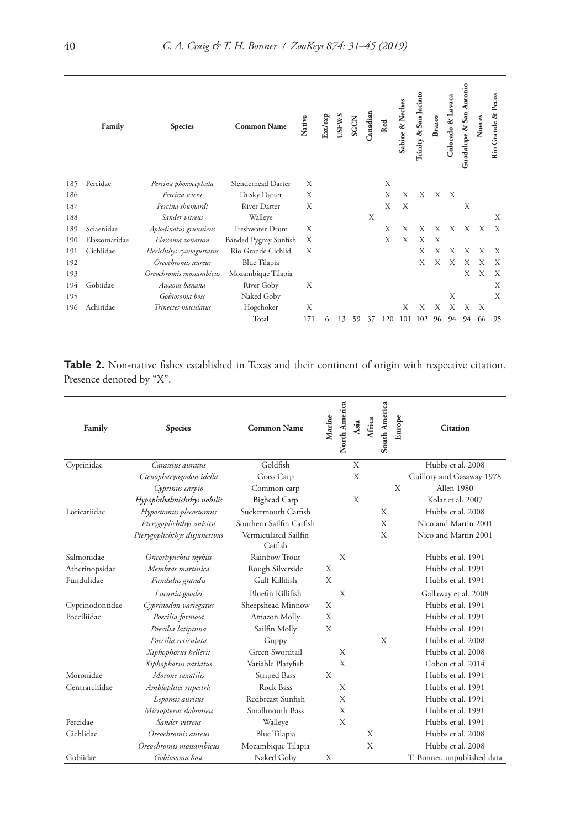|     | Family        | <b>Species</b>           | <b>Common Name</b>   | Native | Ext/exp | <b>USFWS</b> | SGCN | Canadian | Red | Sabine & Neches | Trinity & San Jacinto | <b>Brazos</b> | Colorado & Lavaca | Guadalupe & San Antonio | Nueces | Rio Grande & Pecos |
|-----|---------------|--------------------------|----------------------|--------|---------|--------------|------|----------|-----|-----------------|-----------------------|---------------|-------------------|-------------------------|--------|--------------------|
| 185 | Percidae      | Percina phoxocephala     | Slenderhead Darter   | X      |         |              |      |          | X   |                 |                       |               |                   |                         |        |                    |
| 186 |               | Percina sciera           | Dusky Darter         | X      |         |              |      |          | X   | X               | X                     | X             | $\mathbf{X}$      |                         |        |                    |
| 187 |               | Percina shumardi         | River Darter         | X      |         |              |      |          | X   | X               |                       |               |                   | Х                       |        |                    |
| 188 |               | Sander vitreus           | Walleye              |        |         |              |      | X        |     |                 |                       |               |                   |                         |        | X                  |
| 189 | Sciaenidae    | Aplodinotus grunniens    | Freshwater Drum      | X      |         |              |      |          | X   | X               | X                     | X             | X                 | X                       | X      | X                  |
| 190 | Elassomatidae | Elassoma zonatum         | Banded Pygmy Sunfish | Х      |         |              |      |          | X   | X               | X                     | X             |                   |                         |        |                    |
| 191 | Cichlidae     | Herichthys cyanoguttatus | Rio Grande Cichlid   | X      |         |              |      |          |     |                 | X                     | X             | X                 | X                       | X      | X                  |
| 192 |               | Oreochromis aureus       | Blue Tilapia         |        |         |              |      |          |     |                 | X                     | X             | X                 | X                       | Х      | X                  |
| 193 |               | Oreochromis mossambicus  | Mozambique Tilapia   |        |         |              |      |          |     |                 |                       |               |                   | X                       | X      | X                  |
| 194 | Gobiidae      | Awaous hanana            | River Goby           | X      |         |              |      |          |     |                 |                       |               |                   |                         |        | X                  |
| 195 |               | Gobiosoma bosc           | Naked Goby           |        |         |              |      |          |     |                 |                       |               | X                 |                         |        | X                  |
| 196 | Achiridae     | Trinectes maculatus      | Hogchoker            | X      |         |              |      |          |     | X               | Х                     | X             | X                 | X                       | X      |                    |
|     |               |                          | Total                | 171    | 6       | 13           | 59   | 37       | 120 | 101             | 102                   | 96            | 94                | 94                      | 66     | 95                 |

Table 2. Non-native fishes established in Texas and their continent of origin with respective citation. Presence denoted by "X".

| Family          | <b>Species</b>                | <b>Common Name</b>              | Marine | North America | Asia | Africa | South America | Europe | <b>Citation</b>             |
|-----------------|-------------------------------|---------------------------------|--------|---------------|------|--------|---------------|--------|-----------------------------|
| Cyprinidae      | Carassius auratus             | Goldfish                        |        |               | X    |        |               |        | Hubbs et al. 2008           |
|                 | Ctenopharyngodon idella       | Grass Carp                      |        |               | X    |        |               |        | Guillory and Gasaway 1978   |
|                 | Cyprinus carpio               | Common carp                     |        |               |      |        |               | X      | Allen 1980                  |
|                 | Hypophthalmichthys nobilis    | <b>Bighead Carp</b>             |        |               | X    |        |               |        | Kolar et al. 2007           |
| Loricariidae    | Hypostomus plecostomus        | Suckermouth Catfish             |        |               |      |        | X             |        | Hubbs et al. 2008           |
|                 | Pterygoplichthys anisitsi     | Southern Sailfin Catfish        |        |               |      |        | X             |        | Nico and Martin 2001        |
|                 | Pterygoplichthys disjunctivus | Vermiculated Sailfin<br>Catfish |        |               |      |        | X             |        | Nico and Martin 2001        |
| Salmonidae      | Oncorhynchus mykiss           | Rainbow Trout                   |        | X             |      |        |               |        | Hubbs et al. 1991           |
| Atherinopsidae  | Membras martinica             | Rough Silverside                | X      |               |      |        |               |        | Hubbs et al. 1991           |
| Fundulidae      | Fundulus grandis              | Gulf Killifish                  | X      |               |      |        |               |        | Hubbs et al. 1991           |
|                 | Lucania goodei                | Bluefin Killifish               |        | X             |      |        |               |        | Gallaway et al. 2008        |
| Cyprinodontidae | Cyprinodon variegatus         | Sheepshead Minnow               | X      |               |      |        |               |        | Hubbs et al. 1991           |
| Poeciliidae     | Poecilia formosa              | Amazon Molly                    | X      |               |      |        |               |        | Hubbs et al. 1991           |
|                 | Poecilia latipinna            | Sailfin Molly                   | X      |               |      |        |               |        | Hubbs et al. 1991           |
|                 | Poecilia reticulata           | Guppy                           |        |               |      |        | X             |        | Hubbs et al. 2008           |
|                 | Xiphophorus hellerii          | Green Swordtail                 |        | X             |      |        |               |        | Hubbs et al. 2008           |
|                 | Xiphophorus variatus          | Variable Platyfish              |        | X             |      |        |               |        | Cohen et al. 2014           |
| Moronidae       | Morone saxatilis              | Striped Bass                    | X      |               |      |        |               |        | Hubbs et al. 1991           |
| Centrarchidae   | Ambloplites rupestris         | Rock Bass                       |        | X             |      |        |               |        | Hubbs et al. 1991           |
|                 | Lepomis auritus               | Redbreast Sunfish               |        | X             |      |        |               |        | Hubbs et al. 1991           |
|                 | Micropterus dolomieu          | Smallmouth Bass                 |        | X             |      |        |               |        | Hubbs et al. 1991           |
| Percidae        | Sander vitreus                | Walleye                         |        | X             |      |        |               |        | Hubbs et al. 1991           |
| Cichlidae       | Oreochromis aureus            | <b>Blue Tilapia</b>             |        |               |      | X      |               |        | Hubbs et al. 2008           |
|                 | Oreochromis mossambicus       | Mozambique Tilapia              |        |               |      | X      |               |        | Hubbs et al. 2008           |
| Gobiidae        | Gobiosoma bosc                | Naked Goby                      | X      |               |      |        |               |        | T. Bonner, unpublished data |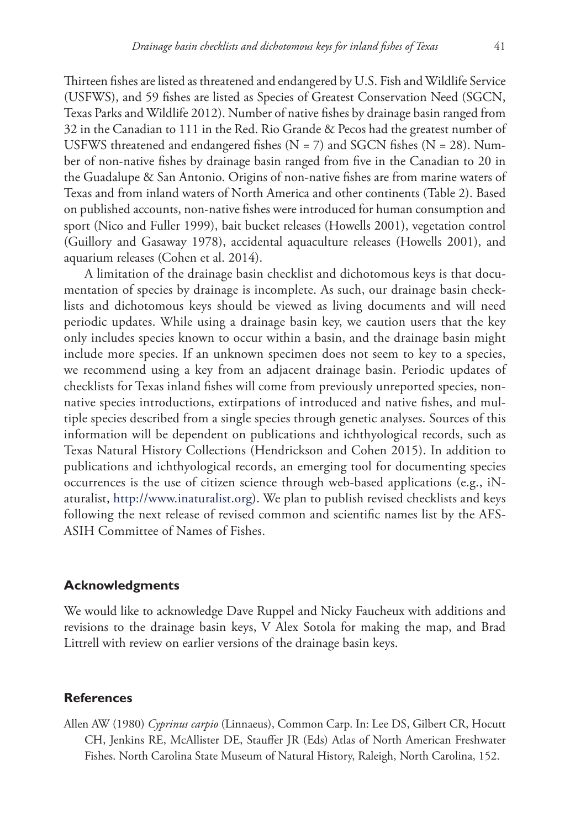Thirteen fishes are listed as threatened and endangered by U.S. Fish and Wildlife Service (USFWS), and 59 fishes are listed as Species of Greatest Conservation Need (SGCN, Texas Parks and Wildlife 2012). Number of native fishes by drainage basin ranged from 32 in the Canadian to 111 in the Red. Rio Grande & Pecos had the greatest number of USFWS threatened and endangered fishes ( $N = 7$ ) and SGCN fishes ( $N = 28$ ). Number of non-native fishes by drainage basin ranged from five in the Canadian to 20 in the Guadalupe & San Antonio. Origins of non-native fishes are from marine waters of Texas and from inland waters of North America and other continents (Table 2). Based on published accounts, non-native fishes were introduced for human consumption and sport (Nico and Fuller 1999), bait bucket releases (Howells 2001), vegetation control (Guillory and Gasaway 1978), accidental aquaculture releases (Howells 2001), and aquarium releases (Cohen et al. 2014).

A limitation of the drainage basin checklist and dichotomous keys is that documentation of species by drainage is incomplete. As such, our drainage basin checklists and dichotomous keys should be viewed as living documents and will need periodic updates. While using a drainage basin key, we caution users that the key only includes species known to occur within a basin, and the drainage basin might include more species. If an unknown specimen does not seem to key to a species, we recommend using a key from an adjacent drainage basin. Periodic updates of checklists for Texas inland fishes will come from previously unreported species, nonnative species introductions, extirpations of introduced and native fishes, and multiple species described from a single species through genetic analyses. Sources of this information will be dependent on publications and ichthyological records, such as Texas Natural History Collections (Hendrickson and Cohen 2015). In addition to publications and ichthyological records, an emerging tool for documenting species occurrences is the use of citizen science through web-based applications (e.g., iNaturalist, [http://www.inaturalist.org\)](http://www.inaturalist.org). We plan to publish revised checklists and keys following the next release of revised common and scientific names list by the AFS-ASIH Committee of Names of Fishes.

# **Acknowledgments**

We would like to acknowledge Dave Ruppel and Nicky Faucheux with additions and revisions to the drainage basin keys, V Alex Sotola for making the map, and Brad Littrell with review on earlier versions of the drainage basin keys.

### **References**

Allen AW (1980) *Cyprinus carpio* (Linnaeus), Common Carp. In: Lee DS, Gilbert CR, Hocutt CH, Jenkins RE, McAllister DE, Stauffer JR (Eds) Atlas of North American Freshwater Fishes. North Carolina State Museum of Natural History, Raleigh, North Carolina, 152.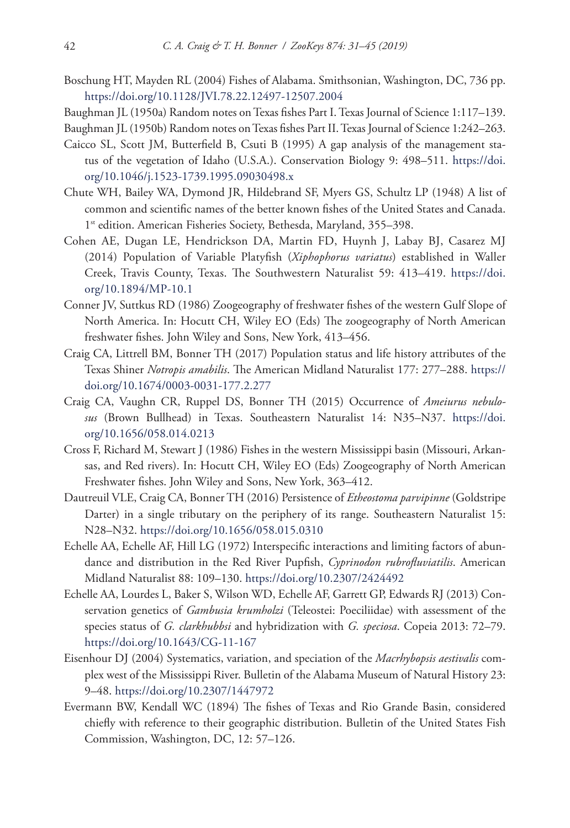- Boschung HT, Mayden RL (2004) Fishes of Alabama. Smithsonian, Washington, DC, 736 pp. <https://doi.org/10.1128/JVI.78.22.12497-12507.2004>
- Baughman JL (1950a) Random notes on Texas fishes Part I. Texas Journal of Science 1:117–139.

Baughman JL (1950b) Random notes on Texas fishes Part II. Texas Journal of Science 1:242–263.

- Caicco SL, Scott JM, Butterfield B, Csuti B (1995) A gap analysis of the management status of the vegetation of Idaho (U.S.A.). Conservation Biology 9: 498–511. [https://doi.](https://doi.org/10.1046/j.1523-1739.1995.09030498.x) [org/10.1046/j.1523-1739.1995.09030498.x](https://doi.org/10.1046/j.1523-1739.1995.09030498.x)
- Chute WH, Bailey WA, Dymond JR, Hildebrand SF, Myers GS, Schultz LP (1948) A list of common and scientific names of the better known fishes of the United States and Canada. 1<sup>st</sup> edition. American Fisheries Society, Bethesda, Maryland, 355–398.
- Cohen AE, Dugan LE, Hendrickson DA, Martin FD, Huynh J, Labay BJ, Casarez MJ (2014) Population of Variable Platyfish (*Xiphophorus variatus*) established in Waller Creek, Travis County, Texas. The Southwestern Naturalist 59: 413–419. [https://doi.](https://doi.org/10.1894/MP-10.1) [org/10.1894/MP-10.1](https://doi.org/10.1894/MP-10.1)
- Conner JV, Suttkus RD (1986) Zoogeography of freshwater fishes of the western Gulf Slope of North America. In: Hocutt CH, Wiley EO (Eds) The zoogeography of North American freshwater fishes. John Wiley and Sons, New York, 413–456.
- Craig CA, Littrell BM, Bonner TH (2017) Population status and life history attributes of the Texas Shiner *Notropis amabilis*. The American Midland Naturalist 177: 277–288. [https://](https://doi.org/10.1674/0003-0031-177.2.277) [doi.org/10.1674/0003-0031-177.2.277](https://doi.org/10.1674/0003-0031-177.2.277)
- Craig CA, Vaughn CR, Ruppel DS, Bonner TH (2015) Occurrence of *Ameiurus nebulosus* (Brown Bullhead) in Texas. Southeastern Naturalist 14: N35–N37. [https://doi.](https://doi.org/10.1656/058.014.0213) [org/10.1656/058.014.0213](https://doi.org/10.1656/058.014.0213)
- Cross F, Richard M, Stewart J (1986) Fishes in the western Mississippi basin (Missouri, Arkansas, and Red rivers). In: Hocutt CH, Wiley EO (Eds) Zoogeography of North American Freshwater fishes. John Wiley and Sons, New York, 363–412.
- Dautreuil VLE, Craig CA, Bonner TH (2016) Persistence of *Etheostoma parvipinne* (Goldstripe Darter) in a single tributary on the periphery of its range. Southeastern Naturalist 15: N28–N32.<https://doi.org/10.1656/058.015.0310>
- Echelle AA, Echelle AF, Hill LG (1972) Interspecific interactions and limiting factors of abundance and distribution in the Red River Pupfish, *Cyprinodon rubrofluviatilis*. American Midland Naturalist 88: 109–130.<https://doi.org/10.2307/2424492>
- Echelle AA, Lourdes L, Baker S, Wilson WD, Echelle AF, Garrett GP, Edwards RJ (2013) Conservation genetics of *Gambusia krumholzi* (Teleostei: Poeciliidae) with assessment of the species status of *G. clarkhubbsi* and hybridization with *G. speciosa*. Copeia 2013: 72–79. <https://doi.org/10.1643/CG-11-167>
- Eisenhour DJ (2004) Systematics, variation, and speciation of the *Macrhybopsis aestivalis* complex west of the Mississippi River. Bulletin of the Alabama Museum of Natural History 23: 9–48.<https://doi.org/10.2307/1447972>
- Evermann BW, Kendall WC (1894) The fishes of Texas and Rio Grande Basin, considered chiefly with reference to their geographic distribution. Bulletin of the United States Fish Commission, Washington, DC, 12: 57–126.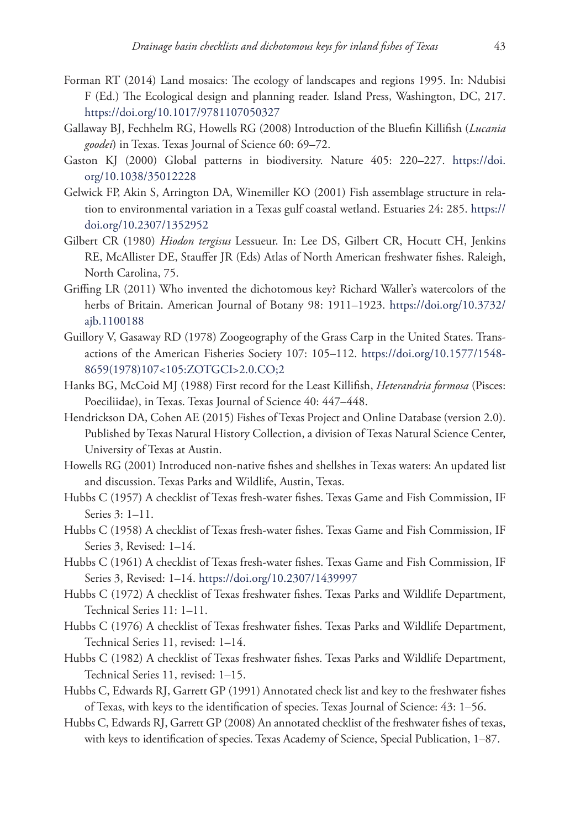- Forman RT (2014) Land mosaics: The ecology of landscapes and regions 1995. In: Ndubisi F (Ed.) The Ecological design and planning reader. Island Press, Washington, DC, 217. <https://doi.org/10.1017/9781107050327>
- Gallaway BJ, Fechhelm RG, Howells RG (2008) Introduction of the Bluefin Killifish (*Lucania goodei*) in Texas. Texas Journal of Science 60: 69–72.
- Gaston KJ (2000) Global patterns in biodiversity. Nature 405: 220–227. [https://doi.](https://doi.org/10.1038/35012228) [org/10.1038/35012228](https://doi.org/10.1038/35012228)
- Gelwick FP, Akin S, Arrington DA, Winemiller KO (2001) Fish assemblage structure in relation to environmental variation in a Texas gulf coastal wetland. Estuaries 24: 285. [https://](https://doi.org/10.2307/1352952) [doi.org/10.2307/1352952](https://doi.org/10.2307/1352952)
- Gilbert CR (1980) *Hiodon tergisus* Lessueur. In: Lee DS, Gilbert CR, Hocutt CH, Jenkins RE, McAllister DE, Stauffer JR (Eds) Atlas of North American freshwater fishes. Raleigh, North Carolina, 75.
- Griffing LR (2011) Who invented the dichotomous key? Richard Waller's watercolors of the herbs of Britain. American Journal of Botany 98: 1911–1923. [https://doi.org/10.3732/](https://doi.org/10.3732/ajb.1100188) [ajb.1100188](https://doi.org/10.3732/ajb.1100188)
- Guillory V, Gasaway RD (1978) Zoogeography of the Grass Carp in the United States. Transactions of the American Fisheries Society 107: 105–112. [https://doi.org/10.1577/1548-](https://doi.org/10.1577/1548-8659(1978)107%3C105:ZOTGCI%3E2.0.CO;2) [8659\(1978\)107<105:ZOTGCI>2.0.CO;2](https://doi.org/10.1577/1548-8659(1978)107%3C105:ZOTGCI%3E2.0.CO;2)
- Hanks BG, McCoid MJ (1988) First record for the Least Killifish, *Heterandria formosa* (Pisces: Poeciliidae), in Texas. Texas Journal of Science 40: 447–448.
- Hendrickson DA, Cohen AE (2015) Fishes of Texas Project and Online Database (version 2.0). Published by Texas Natural History Collection, a division of Texas Natural Science Center, University of Texas at Austin.
- Howells RG (2001) Introduced non-native fishes and shellshes in Texas waters: An updated list and discussion. Texas Parks and Wildlife, Austin, Texas.
- Hubbs C (1957) A checklist of Texas fresh-water fishes. Texas Game and Fish Commission, IF Series 3: 1–11.
- Hubbs C (1958) A checklist of Texas fresh-water fishes. Texas Game and Fish Commission, IF Series 3, Revised: 1–14.
- Hubbs C (1961) A checklist of Texas fresh-water fishes. Texas Game and Fish Commission, IF Series 3, Revised: 1–14.<https://doi.org/10.2307/1439997>
- Hubbs C (1972) A checklist of Texas freshwater fishes. Texas Parks and Wildlife Department, Technical Series 11: 1–11.
- Hubbs C (1976) A checklist of Texas freshwater fishes. Texas Parks and Wildlife Department, Technical Series 11, revised: 1–14.
- Hubbs C (1982) A checklist of Texas freshwater fishes. Texas Parks and Wildlife Department, Technical Series 11, revised: 1–15.
- Hubbs C, Edwards RJ, Garrett GP (1991) Annotated check list and key to the freshwater fishes of Texas, with keys to the identification of species. Texas Journal of Science: 43: 1–56.
- Hubbs C, Edwards RJ, Garrett GP (2008) An annotated checklist of the freshwater fishes of texas, with keys to identification of species. Texas Academy of Science, Special Publication, 1–87.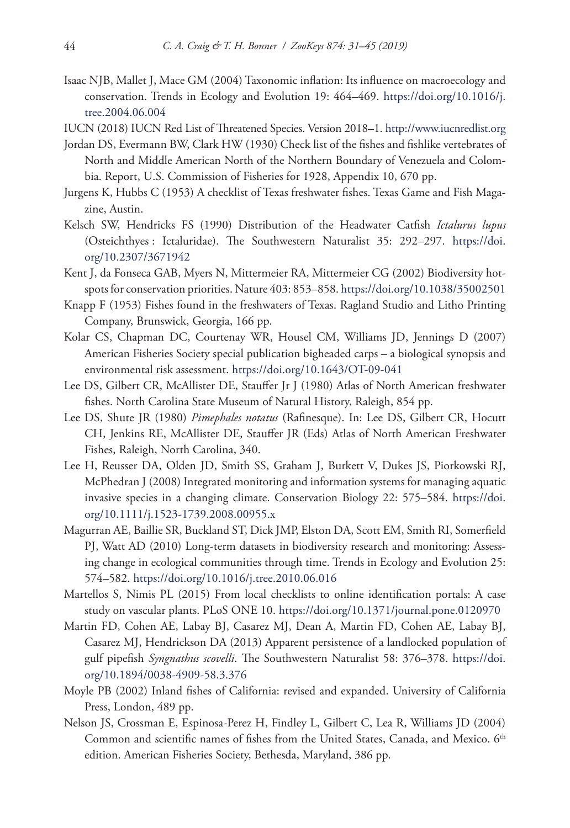- Isaac NJB, Mallet J, Mace GM (2004) Taxonomic inflation: Its influence on macroecology and conservation. Trends in Ecology and Evolution 19: 464–469. [https://doi.org/10.1016/j.](https://doi.org/10.1016/j.tree.2004.06.004) [tree.2004.06.004](https://doi.org/10.1016/j.tree.2004.06.004)
- IUCN (2018) IUCN Red List of Threatened Species. Version 2018–1.<http://www.iucnredlist.org>
- Jordan DS, Evermann BW, Clark HW (1930) Check list of the fishes and fishlike vertebrates of North and Middle American North of the Northern Boundary of Venezuela and Colombia. Report, U.S. Commission of Fisheries for 1928, Appendix 10, 670 pp.
- Jurgens K, Hubbs C (1953) A checklist of Texas freshwater fishes. Texas Game and Fish Magazine, Austin.
- Kelsch SW, Hendricks FS (1990) Distribution of the Headwater Catfish *Ictalurus lupus* (Osteichthyes : Ictaluridae). The Southwestern Naturalist 35: 292–297. [https://doi.](https://doi.org/10.2307/3671942) [org/10.2307/3671942](https://doi.org/10.2307/3671942)
- Kent J, da Fonseca GAB, Myers N, Mittermeier RA, Mittermeier CG (2002) Biodiversity hotspots for conservation priorities. Nature 403: 853–858.<https://doi.org/10.1038/35002501>
- Knapp F (1953) Fishes found in the freshwaters of Texas. Ragland Studio and Litho Printing Company, Brunswick, Georgia, 166 pp.
- Kolar CS, Chapman DC, Courtenay WR, Housel CM, Williams JD, Jennings D (2007) American Fisheries Society special publication bigheaded carps – a biological synopsis and environmental risk assessment. <https://doi.org/10.1643/OT-09-041>
- Lee DS, Gilbert CR, McAllister DE, Stauffer Jr J (1980) Atlas of North American freshwater fishes. North Carolina State Museum of Natural History, Raleigh, 854 pp.
- Lee DS, Shute JR (1980) *Pimephales notatus* (Rafinesque). In: Lee DS, Gilbert CR, Hocutt CH, Jenkins RE, McAllister DE, Stauffer JR (Eds) Atlas of North American Freshwater Fishes, Raleigh, North Carolina, 340.
- Lee H, Reusser DA, Olden JD, Smith SS, Graham J, Burkett V, Dukes JS, Piorkowski RJ, McPhedran J (2008) Integrated monitoring and information systems for managing aquatic invasive species in a changing climate. Conservation Biology 22: 575–584. [https://doi.](https://doi.org/10.1111/j.1523-1739.2008.00955.x) [org/10.1111/j.1523-1739.2008.00955.x](https://doi.org/10.1111/j.1523-1739.2008.00955.x)
- Magurran AE, Baillie SR, Buckland ST, Dick JMP, Elston DA, Scott EM, Smith RI, Somerfield PJ, Watt AD (2010) Long-term datasets in biodiversity research and monitoring: Assessing change in ecological communities through time. Trends in Ecology and Evolution 25: 574–582.<https://doi.org/10.1016/j.tree.2010.06.016>
- Martellos S, Nimis PL (2015) From local checklists to online identification portals: A case study on vascular plants. PLoS ONE 10. <https://doi.org/10.1371/journal.pone.0120970>
- Martin FD, Cohen AE, Labay BJ, Casarez MJ, Dean A, Martin FD, Cohen AE, Labay BJ, Casarez MJ, Hendrickson DA (2013) Apparent persistence of a landlocked population of gulf pipefish *Syngnathus scovelli*. The Southwestern Naturalist 58: 376–378. [https://doi.](https://doi.org/10.1894/0038-4909-58.3.376) [org/10.1894/0038-4909-58.3.376](https://doi.org/10.1894/0038-4909-58.3.376)
- Moyle PB (2002) Inland fishes of California: revised and expanded. University of California Press, London, 489 pp.
- Nelson JS, Crossman E, Espinosa-Perez H, Findley L, Gilbert C, Lea R, Williams JD (2004) Common and scientific names of fishes from the United States, Canada, and Mexico. 6<sup>th</sup> edition. American Fisheries Society, Bethesda, Maryland, 386 pp.